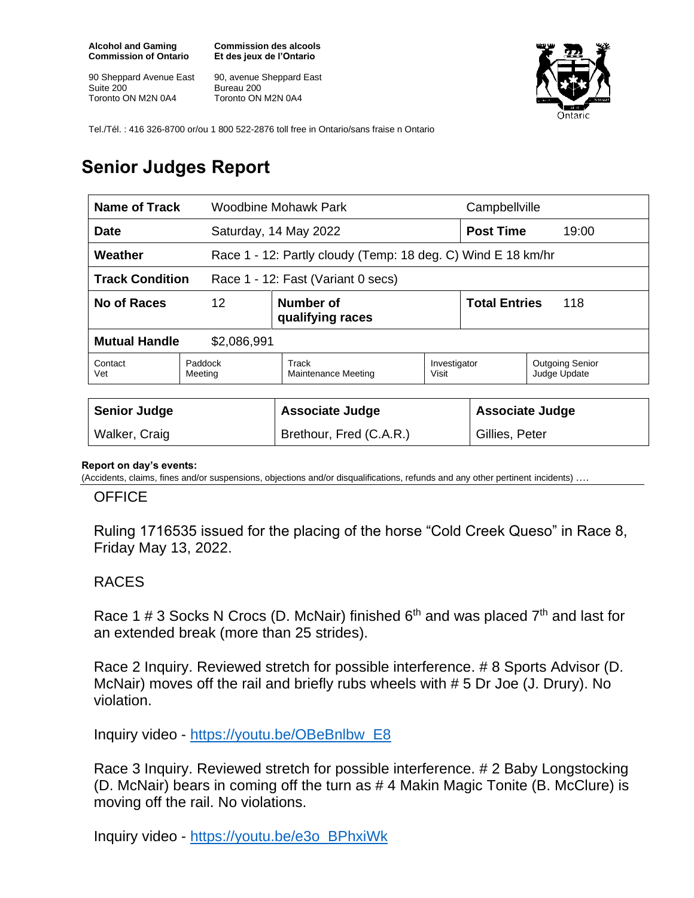**Alcohol and Gaming Commission of Ontario**

90 Sheppard Avenue East Suite 200 Toronto ON M2N 0A4

**Commission des alcools Et des jeux de l'Ontario**

90, avenue Sheppard East Bureau 200 Toronto ON M2N 0A4



Tel./Tél. : 416 326-8700 or/ou 1 800 522-2876 toll free in Ontario/sans fraise n Ontario

## **Senior Judges Report**

| Name of Track                                                |                    | Woodbine Mohawk Park                                         |                       | Campbellville               |                                        |
|--------------------------------------------------------------|--------------------|--------------------------------------------------------------|-----------------------|-----------------------------|----------------------------------------|
| Date                                                         |                    | Saturday, 14 May 2022                                        |                       | <b>Post Time</b><br>19:00   |                                        |
| Weather                                                      |                    | Race 1 - 12: Partly cloudy (Temp: 18 deg. C) Wind E 18 km/hr |                       |                             |                                        |
| <b>Track Condition</b><br>Race 1 - 12: Fast (Variant 0 secs) |                    |                                                              |                       |                             |                                        |
| No of Races                                                  | $12 \overline{ }$  | Number of<br>qualifying races                                |                       | <b>Total Entries</b><br>118 |                                        |
| <b>Mutual Handle</b><br>\$2,086,991                          |                    |                                                              |                       |                             |                                        |
| Contact<br>Vet                                               | Paddock<br>Meeting | Track<br>Maintenance Meeting                                 | Investigator<br>Visit |                             | <b>Outgoing Senior</b><br>Judge Update |
|                                                              |                    |                                                              |                       |                             |                                        |
| <b>Senior Judge</b>                                          |                    | <b>Associate Judge</b>                                       |                       | <b>Associate Judge</b>      |                                        |
| Walker, Craig                                                |                    | Brethour, Fred (C.A.R.)                                      |                       | Gillies, Peter              |                                        |

## **Report on day's events:**

(Accidents, claims, fines and/or suspensions, objections and/or disqualifications, refunds and any other pertinent incidents) ….

## **OFFICE**

Ruling 1716535 issued for the placing of the horse "Cold Creek Queso" in Race 8, Friday May 13, 2022.

## RACES

Race 1 # 3 Socks N Crocs (D. McNair) finished  $6<sup>th</sup>$  and was placed  $7<sup>th</sup>$  and last for an extended break (more than 25 strides).

Race 2 Inquiry. Reviewed stretch for possible interference. # 8 Sports Advisor (D. McNair) moves off the rail and briefly rubs wheels with # 5 Dr Joe (J. Drury). No violation.

Inquiry video - [https://youtu.be/OBeBnlbw\\_E8](https://youtu.be/OBeBnlbw_E8)

Race 3 Inquiry. Reviewed stretch for possible interference. # 2 Baby Longstocking (D. McNair) bears in coming off the turn as # 4 Makin Magic Tonite (B. McClure) is moving off the rail. No violations.

Inquiry video - [https://youtu.be/e3o\\_BPhxiWk](https://youtu.be/e3o_BPhxiWk)